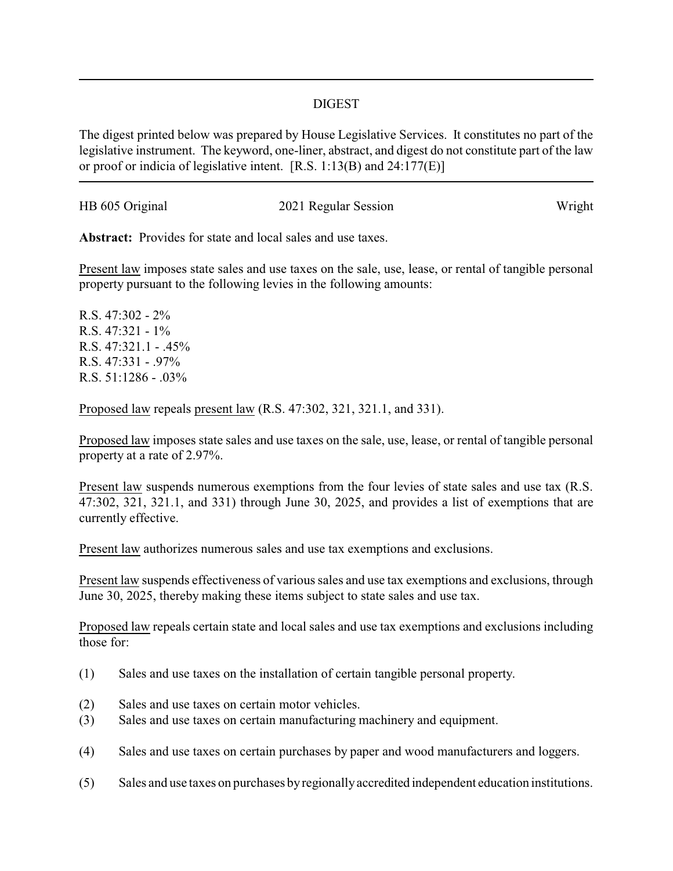## DIGEST

The digest printed below was prepared by House Legislative Services. It constitutes no part of the legislative instrument. The keyword, one-liner, abstract, and digest do not constitute part of the law or proof or indicia of legislative intent. [R.S. 1:13(B) and 24:177(E)]

| HB 605 Original | 2021 Regular Session | Wright |
|-----------------|----------------------|--------|
|                 |                      |        |

**Abstract:** Provides for state and local sales and use taxes.

Present law imposes state sales and use taxes on the sale, use, lease, or rental of tangible personal property pursuant to the following levies in the following amounts:

R.S. 47:302 - 2% R.S. 47:321 - 1% R.S. 47:321.1 - .45% R.S. 47:331 - .97% R.S. 51:1286 - .03%

Proposed law repeals present law (R.S. 47:302, 321, 321.1, and 331).

Proposed law imposes state sales and use taxes on the sale, use, lease, or rental of tangible personal property at a rate of 2.97%.

Present law suspends numerous exemptions from the four levies of state sales and use tax (R.S. 47:302, 321, 321.1, and 331) through June 30, 2025, and provides a list of exemptions that are currently effective.

Present law authorizes numerous sales and use tax exemptions and exclusions.

Present law suspends effectiveness of various sales and use tax exemptions and exclusions, through June 30, 2025, thereby making these items subject to state sales and use tax.

Proposed law repeals certain state and local sales and use tax exemptions and exclusions including those for:

- (1) Sales and use taxes on the installation of certain tangible personal property.
- (2) Sales and use taxes on certain motor vehicles.
- (3) Sales and use taxes on certain manufacturing machinery and equipment.
- (4) Sales and use taxes on certain purchases by paper and wood manufacturers and loggers.
- (5) Sales and use taxes on purchases byregionallyaccredited independent education institutions.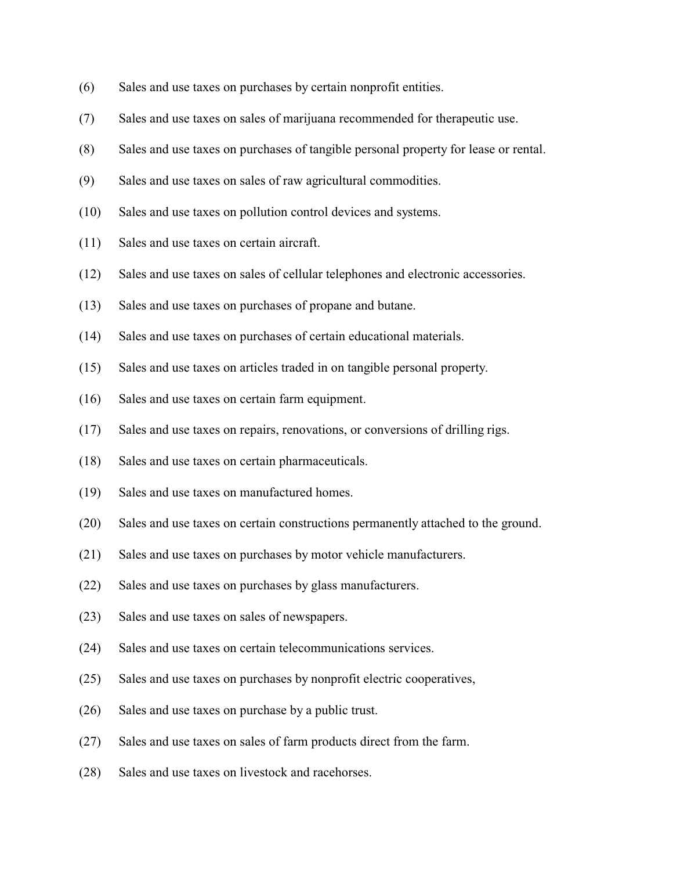- (6) Sales and use taxes on purchases by certain nonprofit entities.
- (7) Sales and use taxes on sales of marijuana recommended for therapeutic use.
- (8) Sales and use taxes on purchases of tangible personal property for lease or rental.
- (9) Sales and use taxes on sales of raw agricultural commodities.
- (10) Sales and use taxes on pollution control devices and systems.
- (11) Sales and use taxes on certain aircraft.
- (12) Sales and use taxes on sales of cellular telephones and electronic accessories.
- (13) Sales and use taxes on purchases of propane and butane.
- (14) Sales and use taxes on purchases of certain educational materials.
- (15) Sales and use taxes on articles traded in on tangible personal property.
- (16) Sales and use taxes on certain farm equipment.
- (17) Sales and use taxes on repairs, renovations, or conversions of drilling rigs.
- (18) Sales and use taxes on certain pharmaceuticals.
- (19) Sales and use taxes on manufactured homes.
- (20) Sales and use taxes on certain constructions permanently attached to the ground.
- (21) Sales and use taxes on purchases by motor vehicle manufacturers.
- (22) Sales and use taxes on purchases by glass manufacturers.
- (23) Sales and use taxes on sales of newspapers.
- (24) Sales and use taxes on certain telecommunications services.
- (25) Sales and use taxes on purchases by nonprofit electric cooperatives,
- (26) Sales and use taxes on purchase by a public trust.
- (27) Sales and use taxes on sales of farm products direct from the farm.
- (28) Sales and use taxes on livestock and racehorses.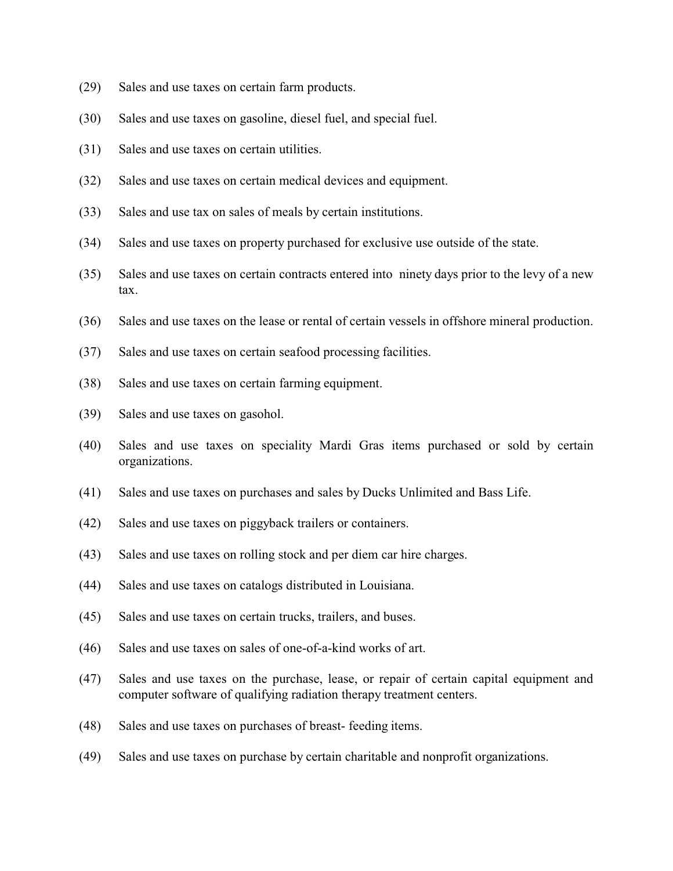- (29) Sales and use taxes on certain farm products.
- (30) Sales and use taxes on gasoline, diesel fuel, and special fuel.
- (31) Sales and use taxes on certain utilities.
- (32) Sales and use taxes on certain medical devices and equipment.
- (33) Sales and use tax on sales of meals by certain institutions.
- (34) Sales and use taxes on property purchased for exclusive use outside of the state.
- (35) Sales and use taxes on certain contracts entered into ninety days prior to the levy of a new tax.
- (36) Sales and use taxes on the lease or rental of certain vessels in offshore mineral production.
- (37) Sales and use taxes on certain seafood processing facilities.
- (38) Sales and use taxes on certain farming equipment.
- (39) Sales and use taxes on gasohol.
- (40) Sales and use taxes on speciality Mardi Gras items purchased or sold by certain organizations.
- (41) Sales and use taxes on purchases and sales by Ducks Unlimited and Bass Life.
- (42) Sales and use taxes on piggyback trailers or containers.
- (43) Sales and use taxes on rolling stock and per diem car hire charges.
- (44) Sales and use taxes on catalogs distributed in Louisiana.
- (45) Sales and use taxes on certain trucks, trailers, and buses.
- (46) Sales and use taxes on sales of one-of-a-kind works of art.
- (47) Sales and use taxes on the purchase, lease, or repair of certain capital equipment and computer software of qualifying radiation therapy treatment centers.
- (48) Sales and use taxes on purchases of breast- feeding items.
- (49) Sales and use taxes on purchase by certain charitable and nonprofit organizations.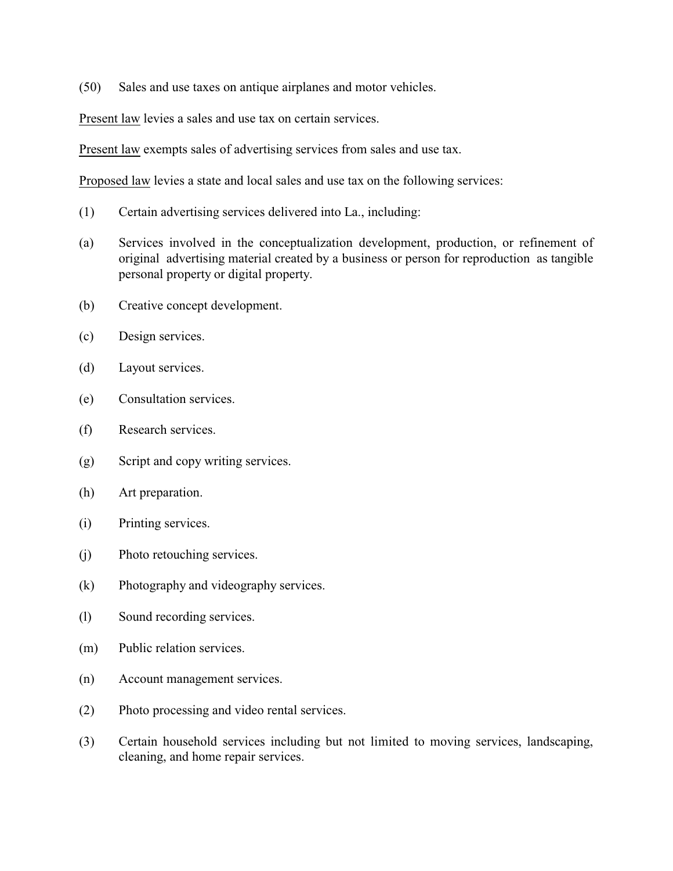(50) Sales and use taxes on antique airplanes and motor vehicles.

Present law levies a sales and use tax on certain services.

Present law exempts sales of advertising services from sales and use tax.

Proposed law levies a state and local sales and use tax on the following services:

- (1) Certain advertising services delivered into La., including:
- (a) Services involved in the conceptualization development, production, or refinement of original advertising material created by a business or person for reproduction as tangible personal property or digital property.
- (b) Creative concept development.
- (c) Design services.
- (d) Layout services.
- (e) Consultation services.
- (f) Research services.
- (g) Script and copy writing services.
- (h) Art preparation.
- (i) Printing services.
- (j) Photo retouching services.
- (k) Photography and videography services.
- (l) Sound recording services.
- (m) Public relation services.
- (n) Account management services.
- (2) Photo processing and video rental services.
- (3) Certain household services including but not limited to moving services, landscaping, cleaning, and home repair services.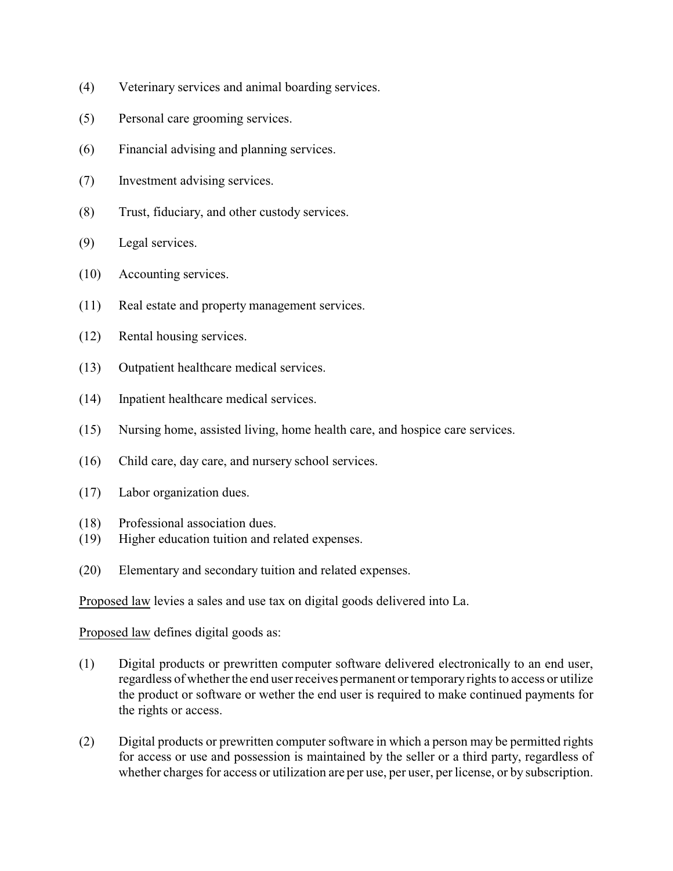- (4) Veterinary services and animal boarding services.
- (5) Personal care grooming services.
- (6) Financial advising and planning services.
- (7) Investment advising services.
- (8) Trust, fiduciary, and other custody services.
- (9) Legal services.
- (10) Accounting services.
- (11) Real estate and property management services.
- (12) Rental housing services.
- (13) Outpatient healthcare medical services.
- (14) Inpatient healthcare medical services.
- (15) Nursing home, assisted living, home health care, and hospice care services.
- (16) Child care, day care, and nursery school services.
- (17) Labor organization dues.
- (18) Professional association dues.
- (19) Higher education tuition and related expenses.
- (20) Elementary and secondary tuition and related expenses.

Proposed law levies a sales and use tax on digital goods delivered into La.

Proposed law defines digital goods as:

- (1) Digital products or prewritten computer software delivered electronically to an end user, regardless of whether the end user receives permanent or temporary rights to access or utilize the product or software or wether the end user is required to make continued payments for the rights or access.
- (2) Digital products or prewritten computer software in which a person may be permitted rights for access or use and possession is maintained by the seller or a third party, regardless of whether charges for access or utilization are per use, per user, per license, or by subscription.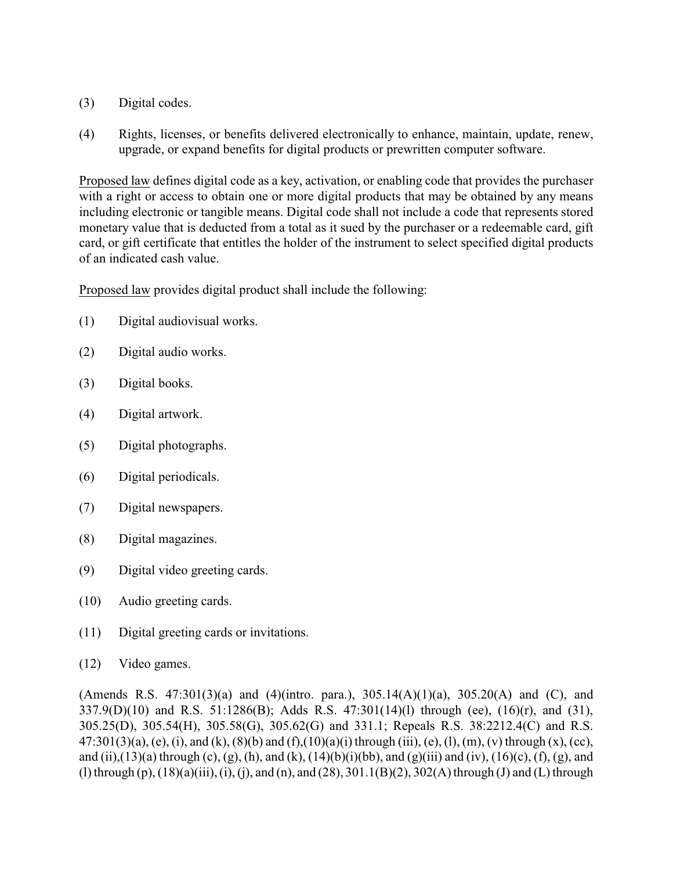- (3) Digital codes.
- (4) Rights, licenses, or benefits delivered electronically to enhance, maintain, update, renew, upgrade, or expand benefits for digital products or prewritten computer software.

Proposed law defines digital code as a key, activation, or enabling code that provides the purchaser with a right or access to obtain one or more digital products that may be obtained by any means including electronic or tangible means. Digital code shall not include a code that represents stored monetary value that is deducted from a total as it sued by the purchaser or a redeemable card, gift card, or gift certificate that entitles the holder of the instrument to select specified digital products of an indicated cash value.

Proposed law provides digital product shall include the following:

- (1) Digital audiovisual works.
- (2) Digital audio works.
- (3) Digital books.
- (4) Digital artwork.
- (5) Digital photographs.
- (6) Digital periodicals.
- (7) Digital newspapers.
- (8) Digital magazines.
- (9) Digital video greeting cards.
- (10) Audio greeting cards.
- (11) Digital greeting cards or invitations.
- (12) Video games.

(Amends R.S. 47:301(3)(a) and (4)(intro. para.),  $305.14(A)(1)(a)$ ,  $305.20(A)$  and (C), and 337.9(D)(10) and R.S. 51:1286(B); Adds R.S. 47:301(14)(l) through (ee), (16)(r), and (31), 305.25(D), 305.54(H), 305.58(G), 305.62(G) and 331.1; Repeals R.S. 38:2212.4(C) and R.S. 47:301(3)(a), (e), (i), and (k), (8)(b) and (f),(10)(a)(i) through (iii), (e), (l), (m), (v) through (x), (cc), and (ii),(13)(a) through (c), (g), (h), and (k), (14)(b)(i)(bb), and (g)(iii) and (iv), (16)(c), (f), (g), and (l) through (p), (18)(a)(iii), (i), (j), and (n), and (28), 301.1(B)(2), 302(A) through (J) and (L) through